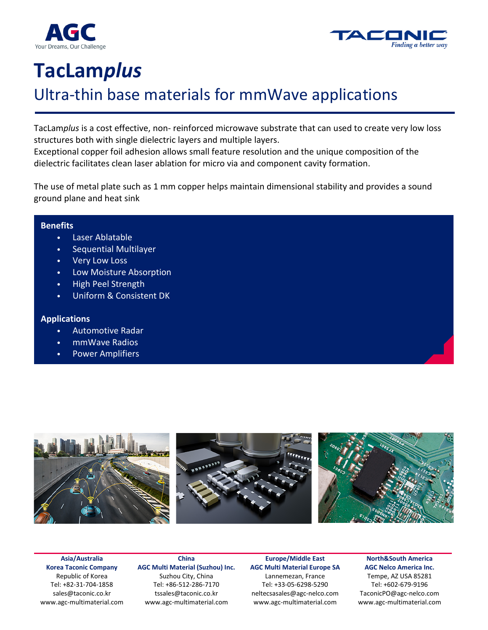



# **TacLam***plus*

## Ultra-thin base materials for mmWave applications

TacLam*plus* is a cost effective, non- reinforced microwave substrate that can used to create very low loss structures both with single dielectric layers and multiple layers.

Exceptional copper foil adhesion allows small feature resolution and the unique composition of the dielectric facilitates clean laser ablation for micro via and component cavity formation.

The use of metal plate such as 1 mm copper helps maintain dimensional stability and provides a sound ground plane and heat sink

#### **Benefits**

- Laser Ablatable
- Sequential Multilayer
- Very Low Loss
- Low Moisture Absorption
- High Peel Strength
- Uniform & Consistent DK

#### **Applications**

- Automotive Radar
- mmWave Radios
- Power Amplifiers



**Asia/Australia Korea Taconic Company**  Republic of Korea Tel: +82-31-704-1858 agc-ml.ktc-sales@agc.com www.agc-multimaterial.com

**China AGC Multi Material (Suzhou) Inc.** Suzhou City, China

Tel: +86-512-286-7170 tssales@taconic.co.kr www.agc-multimaterial.com

**Europe/Middle East AGC Multi Material Europe SA**  Lannemezan, France Tel: +33-05-6298-5290 neltecsasales@agc-nelco.com www.agc-multimaterial.com

**North&South America AGC Nelco America Inc.**  Tempe, AZ USA 85281 Tel: +602-679-9196 TaconicPO@agc-nelco.com www.agc-multimaterial.com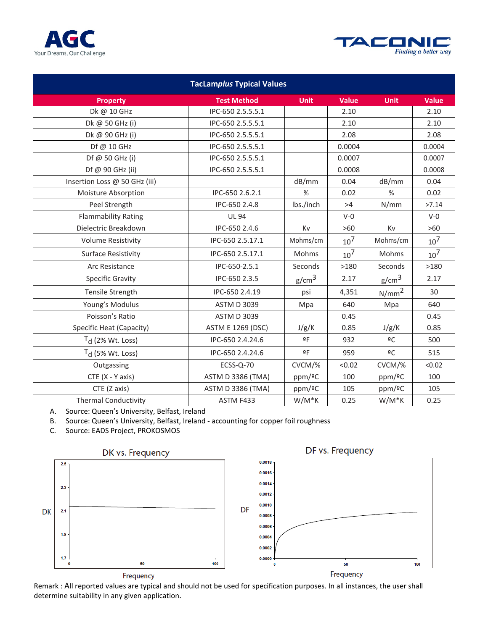



| <b>TacLamplus Typical Values</b> |                          |                   |                 |                   |                 |  |  |  |  |  |
|----------------------------------|--------------------------|-------------------|-----------------|-------------------|-----------------|--|--|--|--|--|
| <b>Property</b>                  | <b>Test Method</b>       | <b>Unit</b>       | Value           | <b>Unit</b>       | <b>Value</b>    |  |  |  |  |  |
| Dk @ 10 GHz                      | IPC-650 2.5.5.5.1        |                   | 2.10            |                   | 2.10            |  |  |  |  |  |
| Dk @ 50 GHz (i)                  | IPC-650 2.5.5.5.1        |                   | 2.10            |                   | 2.10            |  |  |  |  |  |
| Dk @ 90 GHz (i)                  | IPC-650 2.5.5.5.1        |                   | 2.08            |                   | 2.08            |  |  |  |  |  |
| Df @ 10 GHz                      | IPC-650 2.5.5.5.1        |                   | 0.0004          |                   | 0.0004          |  |  |  |  |  |
| Df @ 50 GHz (i)                  | IPC-650 2.5.5.5.1        |                   | 0.0007          |                   | 0.0007          |  |  |  |  |  |
| Df @ 90 GHz (ii)                 | IPC-650 2.5.5.5.1        |                   | 0.0008          |                   | 0.0008          |  |  |  |  |  |
| Insertion Loss @ 50 GHz (iii)    |                          | dB/mm             | 0.04            | dB/mm             | 0.04            |  |  |  |  |  |
| Moisture Absorption              | IPC-650 2.6.2.1          | %                 | 0.02            | $\%$              | 0.02            |  |  |  |  |  |
| Peel Strength                    | IPC-650 2.4.8            | Ibs./inch         | >4              | N/mm              | >7.14           |  |  |  |  |  |
| <b>Flammability Rating</b>       | <b>UL 94</b>             |                   | $V-0$           |                   | $V-0$           |  |  |  |  |  |
| Dielectric Breakdown             | IPC-650 2.4.6            | Kv                | $>60$           | Kv                | $>60$           |  |  |  |  |  |
| <b>Volume Resistivity</b>        | IPC-650 2.5.17.1         | Mohms/cm          | 10 <sup>7</sup> | Mohms/cm          | $10^{7}$        |  |  |  |  |  |
| <b>Surface Resistivity</b>       | IPC-650 2.5.17.1         | Mohms             | $10^{7}$        | Mohms             | 10 <sup>7</sup> |  |  |  |  |  |
| Arc Resistance                   | IPC-650-2.5.1            | Seconds           | >180            | Seconds           | >180            |  |  |  |  |  |
| <b>Specific Gravity</b>          | IPC-650 2.3.5            | g/cm <sup>3</sup> | 2.17            | g/cm <sup>3</sup> | 2.17            |  |  |  |  |  |
| Tensile Strength                 | IPC-650 2.4.19           | psi               | 4,351           | $N/mm^2$          | 30              |  |  |  |  |  |
| Young's Modulus                  | <b>ASTM D 3039</b>       | Mpa               | 640             | Mpa               | 640             |  |  |  |  |  |
| Poisson's Ratio                  | <b>ASTM D 3039</b>       |                   | 0.45            |                   | 0.45            |  |  |  |  |  |
| Specific Heat (Capacity)         | <b>ASTM E 1269 (DSC)</b> | J/g/K             | 0.85            | J/g/K             | 0.85            |  |  |  |  |  |
| $Td$ (2% Wt. Loss)               | IPC-650 2.4.24.6         | 9F                | 932             | $\overline{6}C$   | 500             |  |  |  |  |  |
| $Td$ (5% Wt. Loss)               | IPC-650 2.4.24.6         | 9F                | 959             | $\overline{6}C$   | 515             |  |  |  |  |  |
| Outgassing                       | ECSS-Q-70                | CVCM/%            | < 0.02          | CVCM/%            | < 0.02          |  |  |  |  |  |
| CTE (X - Y axis)                 | <b>ASTM D 3386 (TMA)</b> | ppm/ºC            | 100             | ppm/ºC            | 100             |  |  |  |  |  |
| CTE (Z axis)                     | <b>ASTM D 3386 (TMA)</b> | ppm/ºC            | 105             | ppm/ºC            | 105             |  |  |  |  |  |
| <b>Thermal Conductivity</b>      | ASTM F433                | $W/M*K$           | 0.25            | W/M*K             | 0.25            |  |  |  |  |  |

A. Source: Queen's University, Belfast, Ireland

B. Source: Queen's University, Belfast, Ireland - accounting for copper foil roughness

C. Source: EADS Project, PROKOSMOS



Frequency

Frequency

Remark : All reported values are typical and should not be used for specification purposes. In all instances, the user shall determine suitability in any given application.